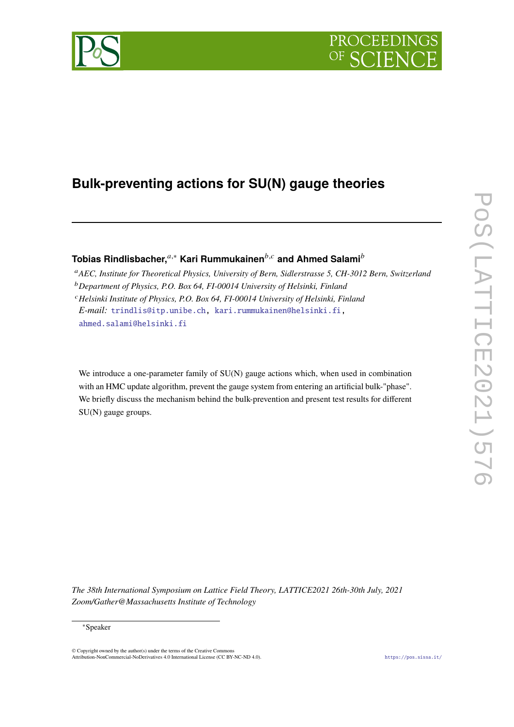

# **Bulk-preventing actions for SU(N) gauge theories**

**Tobias Rindlisbacher,<sup>***a***,∗</sup> Kari Rummukainen<sup>***b,c***</sup> and Ahmed Salami<sup>***b***</sup>** 

*AEC, Institute for Theoretical Physics, University of Bern, Sidlerstrasse 5, CH-3012 Bern, Switzerland Department of Physics, P.O. Box 64, FI-00014 University of Helsinki, Finland Helsinki Institute of Physics, P.O. Box 64, FI-00014 University of Helsinki, Finland E-mail:* [trindlis@itp.unibe.ch,](mailto:trindlis@itp.unibe.ch) [kari.rummukainen@helsinki.fi,](mailto:kari.rummukainen@helsinki.fi) [ahmed.salami@helsinki.fi](mailto:ahmed.salami@helsinki.fi)

We introduce a one-parameter family of SU(N) gauge actions which, when used in combination with an HMC update algorithm, prevent the gauge system from entering an artificial bulk-"phase". We briefly discuss the mechanism behind the bulk-prevention and present test results for different SU(N) gauge groups.

*The 38th International Symposium on Lattice Field Theory, LATTICE2021 26th-30th July, 2021 Zoom/Gather@Massachusetts Institute of Technology*

© Copyright owned by the author(s) under the terms of the Creative Common Attribution-NonCommercial-NoDerivatives 4.0 International License (CC BY-NC-ND 4.0). <https://pos.sissa.it/>

<sup>∗</sup>Speaker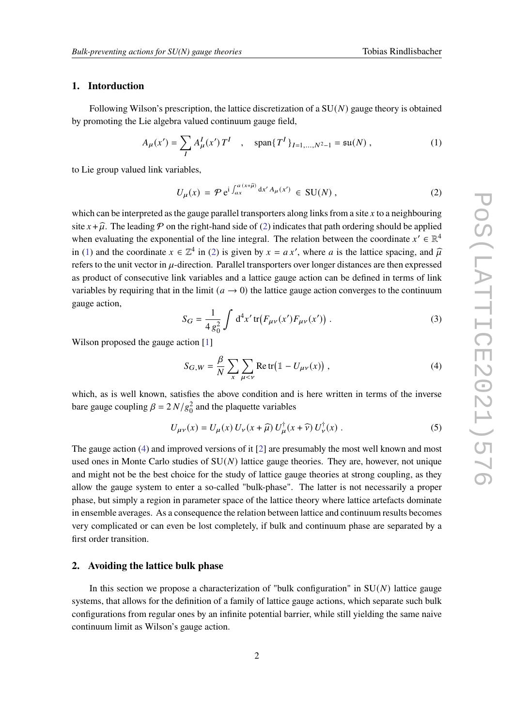# **1. Intorduction**

Following Wilson's prescription, the lattice discretization of a  $SU(N)$  gauge theory is obtained by promoting the Lie algebra valued continuum gauge field,

<span id="page-1-1"></span>
$$
A_{\mu}(x') = \sum_{I} A_{\mu}^{I}(x') T^{I} \quad , \quad \text{span}\{T^{I}\}_{I=1,...,N^{2}-1} = \text{su}(N) , \tag{1}
$$

to Lie group valued link variables,

<span id="page-1-0"></span>
$$
U_{\mu}(x) = \mathcal{P} e^{i \int_{ax}^{a(x+\hat{\mu})} dx' A_{\mu}(x')} \in SU(N) , \qquad (2)
$$

which can be interpreted as the gauge parallel transporters along links from a site  $x$  to a neighbouring site  $x + \hat{\mu}$ . The leading P on the right-hand side of [\(2\)](#page-1-0) indicates that path ordering should be applied when evaluating the exponential of the line integral. The relation between the coordinate  $x' \in \mathbb{R}^4$ in [\(1\)](#page-1-1) and the coordinate  $x \in \mathbb{Z}^4$  in [\(2\)](#page-1-0) is given by  $x = ax'$ , where a is the lattice spacing, and  $\hat{\mu}$ refers to the unit vector in  $\mu$ -direction. Parallel transporters over longer distances are then expressed as product of consecutive link variables and a lattice gauge action can be defined in terms of link variables by requiring that in the limit  $(a \rightarrow 0)$  the lattice gauge action converges to the continuum gauge action,

$$
S_G = \frac{1}{4 g_0^2} \int d^4 x' \, \text{tr} \big( F_{\mu\nu}(x') F_{\mu\nu}(x') \big) \,. \tag{3}
$$

Wilson proposed the gauge action [\[1\]](#page-8-0)

<span id="page-1-2"></span>
$$
S_{G,W} = \frac{\beta}{N} \sum_{x} \sum_{\mu < \nu} \text{Re tr} \big( \mathbb{1} - U_{\mu\nu}(x) \big) \,, \tag{4}
$$

which, as is well known, satisfies the above condition and is here written in terms of the inverse bare gauge coupling  $\beta = 2 N/g_0^2$  and the plaquette variables

$$
U_{\mu\nu}(x) = U_{\mu}(x) U_{\nu}(x+\hat{\mu}) U_{\mu}^{\dagger}(x+\hat{\nu}) U_{\nu}^{\dagger}(x) .
$$
 (5)

The gauge action [\(4\)](#page-1-2) and improved versions of it [\[2\]](#page-8-1) are presumably the most well known and most used ones in Monte Carlo studies of  $SU(N)$  lattice gauge theories. They are, however, not unique and might not be the best choice for the study of lattice gauge theories at strong coupling, as they allow the gauge system to enter a so-called "bulk-phase". The latter is not necessarily a proper phase, but simply a region in parameter space of the lattice theory where lattice artefacts dominate in ensemble averages. As a consequence the relation between lattice and continuum results becomes very complicated or can even be lost completely, if bulk and continuum phase are separated by a first order transition.

### <span id="page-1-3"></span>**2. Avoiding the lattice bulk phase**

In this section we propose a characterization of "bulk configuration" in  $SU(N)$  lattice gauge systems, that allows for the definition of a family of lattice gauge actions, which separate such bulk configurations from regular ones by an infinite potential barrier, while still yielding the same naive continuum limit as Wilson's gauge action.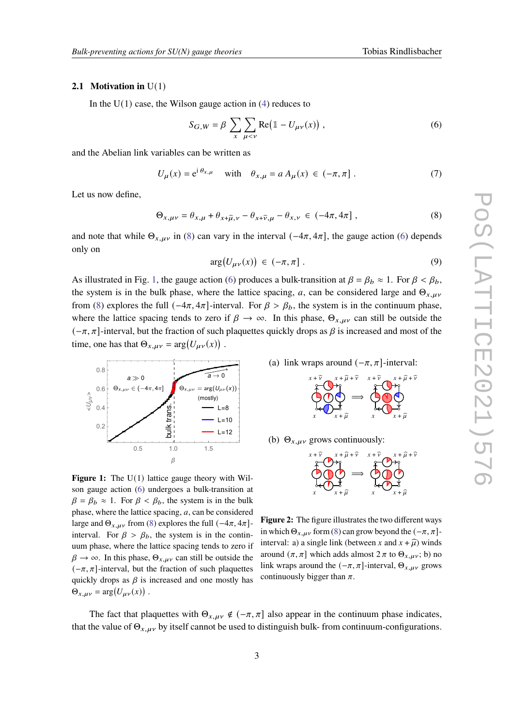#### <span id="page-2-5"></span>**2.1 Motivation in** U(1)

In the  $U(1)$  case, the Wilson gauge action in [\(4\)](#page-1-2) reduces to

<span id="page-2-1"></span>
$$
S_{G,W} = \beta \sum_{x} \sum_{\mu < \nu} \text{Re} \big( \mathbb{1} - U_{\mu\nu}(x) \big) \,, \tag{6}
$$

and the Abelian link variables can be written as

$$
U_{\mu}(x) = e^{i \theta_{x,\mu}} \quad \text{with} \quad \theta_{x,\mu} = a A_{\mu}(x) \in (-\pi, \pi] \ . \tag{7}
$$

Let us now define,

<span id="page-2-0"></span>
$$
\Theta_{x,\mu\nu} = \theta_{x,\mu} + \theta_{x+\hat{\mu},\nu} - \theta_{x+\hat{\nu},\mu} - \theta_{x,\nu} \in (-4\pi, 4\pi] \,, \tag{8}
$$

and note that while  $\Theta_{x,\mu\nu}$  in [\(8\)](#page-2-0) can vary in the interval (-4 $\pi$ , 4 $\pi$ ], the gauge action [\(6\)](#page-2-1) depends only on

$$
\arg(U_{\mu\nu}(x)) \in (-\pi, \pi] \tag{9}
$$

As illustrated in Fig. [1,](#page-2-2) the gauge action [\(6\)](#page-2-1) produces a bulk-transition at  $\beta = \beta_b \approx 1$ . For  $\beta < \beta_b$ , the system is in the bulk phase, where the lattice spacing, a, can be considered large and  $\Theta_{x,\mu\nu}$ from [\(8\)](#page-2-0) explores the full  $(-4\pi, 4\pi]$ -interval. For  $\beta > \beta_b$ , the system is in the continuum phase, where the lattice spacing tends to zero if  $\beta \to \infty$ . In this phase,  $\Theta_{x,\mu\nu}$  can still be outside the  $(-\pi, \pi]$ -interval, but the fraction of such plaquettes quickly drops as  $\beta$  is increased and most of the time, one has that  $\Theta_{x,\mu\nu} = \arg(U_{\mu\nu}(x))$ .

<span id="page-2-2"></span>

**Figure 1:** The U(1) lattice gauge theory with Wilson gauge action [\(6\)](#page-2-1) undergoes a bulk-transition at  $\beta = \beta_b \approx 1$ . For  $\beta < \beta_b$ , the system is in the bulk phase, where the lattice spacing,  $a$ , can be considered large and  $\Theta_{x,\mu\nu}$  from [\(8\)](#page-2-0) explores the full  $(-4\pi, 4\pi]$ interval. For  $\beta > \beta_h$ , the system is in the continuum phase, where the lattice spacing tends to zero if  $\beta \rightarrow \infty$ . In this phase,  $\Theta_{x,\mu\nu}$  can still be outside the  $(-\pi, \pi]$ -interval, but the fraction of such plaquettes quickly drops as  $\beta$  is increased and one mostly has  $\Theta_{x,\mu\nu} = \arg(U_{\mu\nu}(x))$ .

<span id="page-2-3"></span>(a) link wraps around  $(-\pi, \pi]$ -interval:



<span id="page-2-4"></span>(b)  $\Theta_{x,\mu\nu}$  grows continuously:



**Figure 2:** The figure illustrates the two different ways in which  $\Theta_{x,\mu\nu}$  form [\(8\)](#page-2-0) can grow beyond the  $(-\pi, \pi]$ interval: a) a single link (between x and  $x + \hat{\mu}$ ) winds around  $(\pi, \pi]$  which adds almost  $2 \pi$  to  $\Theta_{x,\mu\nu}$ ; b) no link wraps around the  $(-\pi, \pi]$ -interval,  $\Theta_{x,\mu\nu}$  grows continuously bigger than  $\pi$ .

The fact that plaquettes with  $\Theta_{x, \mu y} \notin (-\pi, \pi]$  also appear in the continuum phase indicates, that the value of  $\Theta_{x,\mu\nu}$  by itself cannot be used to distinguish bulk- from continuum-configurations.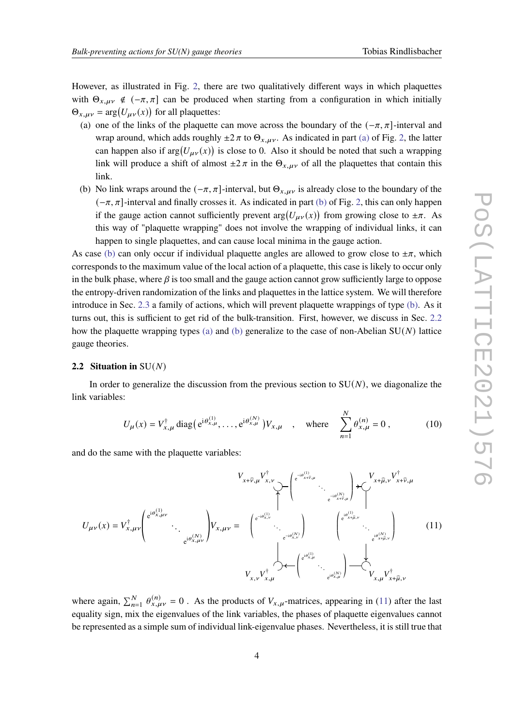However, as illustrated in Fig. [2,](#page-2-2) there are two qualitatively different ways in which plaquettes with  $\Theta_{x,\mu\nu} \notin (-\pi, \pi]$  can be produced when starting from a configuration in which initially  $\Theta_{x,\mu\nu} = \arg(U_{\mu\nu}(x))$  for all plaquettes:

- <span id="page-3-2"></span>(a) one of the links of the plaquette can move across the boundary of the  $(-\pi, \pi]$ -interval and wrap around, which adds roughly  $\pm 2 \pi$  to  $\Theta_{x,\mu\nu}$ . As indicated in part [\(a\)](#page-2-3) of Fig. [2,](#page-2-2) the latter can happen also if  $arg(U_{\mu\nu}(x))$  is close to 0. Also it should be noted that such a wrapping link will produce a shift of almost  $\pm 2 \pi$  in the  $\Theta_{x,\mu\nu}$  of all the plaquettes that contain this link.
- <span id="page-3-0"></span>(b) No link wraps around the  $(-\pi, \pi]$ -interval, but  $\Theta_{x, \mu\nu}$  is already close to the boundary of the  $(-\pi, \pi]$ -interval and finally crosses it. As indicated in part [\(b\)](#page-2-4) of Fig. [2,](#page-2-2) this can only happen if the gauge action cannot sufficiently prevent  $arg(U_{\mu\nu}(x))$  from growing close to  $\pm \pi$ . As this way of "plaquette wrapping" does not involve the wrapping of individual links, it can happen to single plaquettes, and can cause local minima in the gauge action.

As case [\(b\)](#page-3-0) can only occur if individual plaquette angles are allowed to grow close to  $\pm \pi$ , which corresponds to the maximum value of the local action of a plaquette, this case is likely to occur only in the bulk phase, where  $\beta$  is too small and the gauge action cannot grow sufficiently large to oppose the entropy-driven randomization of the links and plaquettes in the lattice system. We will therefore introduce in Sec. [2.3](#page-4-0) a family of actions, which will prevent plaquette wrappings of type [\(b\).](#page-3-0) As it turns out, this is sufficient to get rid of the bulk-transition. First, however, we discuss in Sec. [2.2](#page-3-1) how the plaquette wrapping types [\(a\)](#page-3-2) and [\(b\)](#page-3-0) generalize to the case of non-Abelian  $SU(N)$  lattice gauge theories.

#### <span id="page-3-1"></span>**2.2 Situation in**  $SU(N)$

In order to generalize the discussion from the previous section to  $SU(N)$ , we diagonalize the link variables:

$$
U_{\mu}(x) = V_{x,\mu}^{\dagger} \operatorname{diag} \left( e^{i \theta_{x,\mu}^{(1)}}, \dots, e^{i \theta_{x,\mu}^{(N)}} \right) V_{x,\mu} \quad , \quad \text{where} \quad \sum_{n=1}^{N} \theta_{x,\mu}^{(n)} = 0 , \quad (10)
$$

and do the same with the plaquette variables:

<span id="page-3-3"></span>
$$
U_{\mu\nu}(x) = V_{x,\mu\nu}^{\dagger} \begin{pmatrix} e^{i\theta_{x,\mu\nu}^{(1)}} & & \cdots & \cdots & \cdots & \cdots & \cdots & \cdots & \cdots & \cdots & \cdots & \cdots & \cdots & \cdots & \cdots & \cdots & \cdots & \cdots & \cdots & \cdots & \cdots & \cdots & \cdots & \cdots & \cdots & \cdots & \cdots & \cdots & \cdots & \cdots & \cdots & \cdots & \cdots & \cdots & \cdots & \cdots & \cdots & \cdots & \cdots & \cdots & \cdots & \cdots & \cdots & \cdots & \cdots & \cdots & \cdots & \cdots & \cdots & \cdots & \cdots & \cdots & \cdots & \cdots & \cdots & \cdots & \cdots & \cdots & \cdots & \cdots & \cdots & \cdots & \cdots & \cdots & \cdots & \cdots & \cdots & \cdots & \cdots & \cdots & \cdots & \cdots & \cdots & \cdots & \cdots & \cdots & \cdots & \cdots & \cdots & \cdots & \cdots & \cdots & \cdots & \cdots & \cdots & \cdots & \cdots & \cdots & \cdots & \cdots & \cdots & \cdots & \cdots & \cdots & \cdots & \cdots & \cdots & \cdots & \cdots & \cdots & \cdots & \cdots & \cdots & \cdots & \cdots & \cdots & \cdots & \cdots & \cdots & \cdots & \cdots & \cdots & \cdots & \cdots & \cdots & \cdots & \cdots & \cdots & \cdots & \cdots &
$$

where again,  $\sum_{n=1}^{N} \theta_{x,\mu\nu}^{(n)} = 0$ . As the products of  $V_{x,\mu}$ -matrices, appearing in [\(11\)](#page-3-3) after the last equality sign, mix the eigenvalues of the link variables, the phases of plaquette eigenvalues cannot be represented as a simple sum of individual link-eigenvalue phases. Nevertheless, it is still true that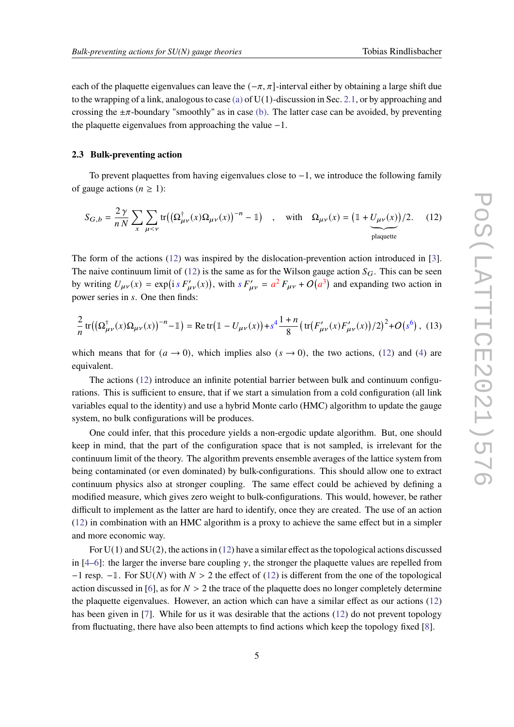each of the plaquette eigenvalues can leave the  $(-\pi, \pi]$ -interval either by obtaining a large shift due to the wrapping of a link, analogous to case [\(a\)](#page-3-2) of  $U(1)$ -discussion in Sec. [2.1,](#page-2-5) or by approaching and crossing the  $\pm \pi$ -boundary "smoothly" as in case [\(b\).](#page-3-0) The latter case can be avoided, by preventing the plaquette eigenvalues from approaching the value −1.

### <span id="page-4-0"></span>**2.3 Bulk-preventing action**

To prevent plaquettes from having eigenvalues close to  $-1$ , we introduce the following family of gauge actions ( $n \geq 1$ ):

<span id="page-4-1"></span>
$$
S_{G,b} = \frac{2\gamma}{nN} \sum_{x} \sum_{\mu < \nu} \text{tr}\big(\big(\Omega^{\dagger}_{\mu\nu}(x)\Omega_{\mu\nu}(x)\big)^{-n} - \mathbb{1}\big) \quad , \quad \text{with} \quad \Omega_{\mu\nu}(x) = \big(\mathbb{1} + \underbrace{U_{\mu\nu}(x)}_{\text{plaquette}}\big)/2. \tag{12}
$$

The form of the actions [\(12\)](#page-4-1) was inspired by the dislocation-prevention action introduced in [\[3\]](#page-8-2). The naive continuum limit of [\(12\)](#page-4-1) is the same as for the Wilson gauge action  $S_G$ . This can be seen by writing  $U_{\mu\nu}(x) = \exp(i s F'_{\mu\nu}(x))$ , with  $s F'_{\mu\nu} = a^2 F_{\mu\nu} + O(a^3)$  and expanding two action in power series in s. One then finds:

<span id="page-4-2"></span>
$$
\frac{2}{n}\operatorname{tr}\left(\left(\Omega_{\mu\nu}^{\dagger}(x)\Omega_{\mu\nu}(x)\right)^{-n}-1\right)=\operatorname{Re}\operatorname{tr}\left(1-U_{\mu\nu}(x)\right)+s^{4}\frac{1+n}{8}\left(\operatorname{tr}\left(F_{\mu\nu}'(x)F_{\mu\nu}'(x)\right)/2\right)^{2}+O\left(s^{6}\right),\tag{13}
$$

which means that for  $(a \to 0)$ , which implies also  $(s \to 0)$ , the two actions, [\(12\)](#page-4-1) and [\(4\)](#page-1-2) are equivalent.

The actions [\(12\)](#page-4-1) introduce an infinite potential barrier between bulk and continuum configurations. This is sufficient to ensure, that if we start a simulation from a cold configuration (all link variables equal to the identity) and use a hybrid Monte carlo (HMC) algorithm to update the gauge system, no bulk configurations will be produces.

One could infer, that this procedure yields a non-ergodic update algorithm. But, one should keep in mind, that the part of the configuration space that is not sampled, is irrelevant for the continuum limit of the theory. The algorithm prevents ensemble averages of the lattice system from being contaminated (or even dominated) by bulk-configurations. This should allow one to extract continuum physics also at stronger coupling. The same effect could be achieved by defining a modified measure, which gives zero weight to bulk-configurations. This would, however, be rather difficult to implement as the latter are hard to identify, once they are created. The use of an action [\(12\)](#page-4-1) in combination with an HMC algorithm is a proxy to achieve the same effect but in a simpler and more economic way.

For  $U(1)$  and  $SU(2)$ , the actions in [\(12\)](#page-4-1) have a similar effect as the topological actions discussed in [\[4–](#page-8-3)[6\]](#page-8-4): the larger the inverse bare coupling  $\gamma$ , the stronger the plaquette values are repelled from  $-1$  resp.  $-1$ . For SU(N) with  $N > 2$  the effect of [\(12\)](#page-4-1) is different from the one of the topological action discussed in [\[6\]](#page-8-4), as for  $N > 2$  the trace of the plaquette does no longer completely determine the plaquette eigenvalues. However, an action which can have a similar effect as our actions [\(12\)](#page-4-1) has been given in [\[7\]](#page-8-5). While for us it was desirable that the actions [\(12\)](#page-4-1) do not prevent topology from fluctuating, there have also been attempts to find actions which keep the topology fixed [\[8\]](#page-8-6).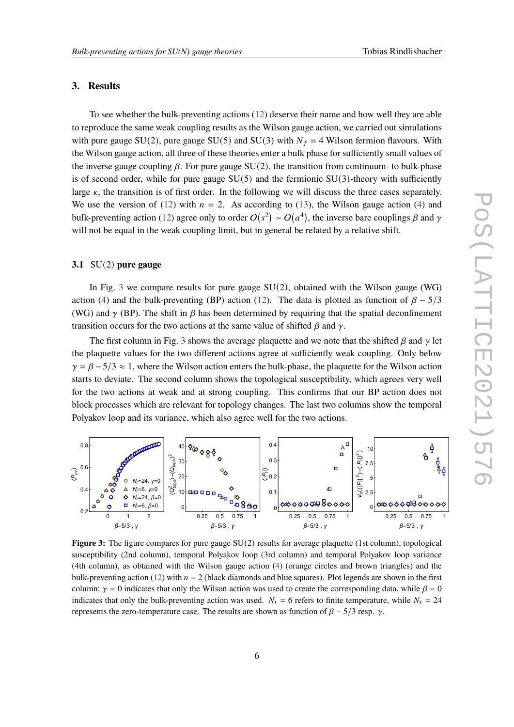#### <span id="page-5-1"></span>**3. Results**

To see whether the bulk-preventing actions [\(12\)](#page-4-1) deserve their name and how well they are able to reproduce the same weak coupling results as the Wilson gauge action, we carried out simulations with pure gauge SU(2), pure gauge SU(5) and SU(3) with  $N_f = 4$  Wilson fermion flavours. With the Wilson gauge action, all three of these theories enter a bulk phase for sufficiently small values of the inverse gauge coupling  $\beta$ . For pure gauge SU(2), the transition from continuum- to bulk-phase is of second order, while for pure gauge  $SU(5)$  and the fermionic  $SU(3)$ -theory with sufficiently large  $\kappa$ , the transition is of first order. In the following we will discuss the three cases separately. We use the version of [\(12\)](#page-4-1) with  $n = 2$ . As according to [\(13\)](#page-4-2), the Wilson gauge action [\(4\)](#page-1-2) and bulk-preventing action [\(12\)](#page-4-1) agree only to order  $O(s^2) \sim O(a^4)$ , the inverse bare couplings  $\beta$  and  $\gamma$ will not be equal in the weak coupling limit, but in general be related by a relative shift.

### **3.1** SU(2) **pure gauge**

In Fig. [3](#page-5-0) we compare results for pure gauge  $SU(2)$ , obtained with the Wilson gauge (WG) action [\(4\)](#page-1-2) and the bulk-preventing (BP) action [\(12\)](#page-4-1). The data is plotted as function of  $\beta - 5/3$ (WG) and  $\gamma$  (BP). The shift in  $\beta$  has been determined by requiring that the spatial deconfinement transition occurs for the two actions at the same value of shifted  $\beta$  and  $\gamma$ .

The first column in Fig. [3](#page-5-0) shows the average plaquette and we note that the shifted  $\beta$  and  $\gamma$  let the plaquette values for the two different actions agree at sufficiently weak coupling. Only below  $\gamma = \beta - 5/3 \approx 1$ , where the Wilson action enters the bulk-phase, the plaquette for the Wilson action starts to deviate. The second column shows the topological susceptibility, which agrees very well for the two actions at weak and at strong coupling. This confirms that our BP action does not block processes which are relevant for topology changes. The last two columns show the temporal Polyakov loop and its variance, which also agree well for the two actions.

<span id="page-5-0"></span>

**Figure 3:** The figure compares for pure gauge SU(2) results for average plaquette (1st column), topological susceptibility (2nd column), temporal Polyakov loop (3rd column) and temporal Polyakov loop variance (4th column), as obtained with the Wilson gauge action [\(4\)](#page-1-2) (orange circles and brown triangles) and the bulk-preventing action [\(12\)](#page-4-1) with  $n = 2$  (black diamonds and blue squares). Plot legends are shown in the first column;  $\gamma = 0$  indicates that only the Wilson action was used to create the corresponding data, while  $\beta = 0$ indicates that only the bulk-preventing action was used.  $N_t = 6$  refers to finite temperature, while  $N_t = 24$ represents the zero-temperature case. The results are shown as function of  $\beta - \frac{5}{3}$  resp.  $\gamma$ .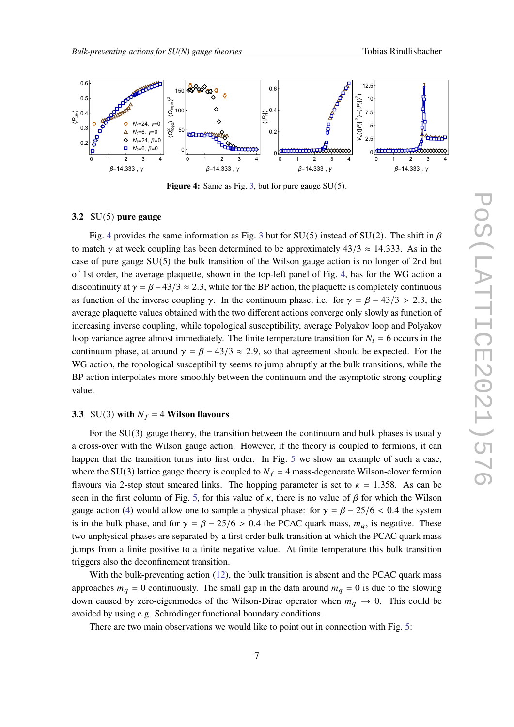<span id="page-6-0"></span>

**Figure 4:** Same as Fig. [3,](#page-5-0) but for pure gauge SU(5).

#### **3.2** SU(5) **pure gauge**

Fig. [4](#page-6-0) provides the same information as Fig. [3](#page-5-0) but for SU(5) instead of SU(2). The shift in  $\beta$ to match  $\gamma$  at week coupling has been determined to be approximately 43/3  $\approx$  14.333. As in the case of pure gauge SU(5) the bulk transition of the Wilson gauge action is no longer of 2nd but of 1st order, the average plaquette, shown in the top-left panel of Fig. [4,](#page-6-0) has for the WG action a discontinuity at  $\gamma = \beta - 43/3 \approx 2.3$ , while for the BP action, the plaquette is completely continuous as function of the inverse coupling  $\gamma$ . In the continuum phase, i.e. for  $\gamma = \beta - 43/3 > 2.3$ , the average plaquette values obtained with the two different actions converge only slowly as function of increasing inverse coupling, while topological susceptibility, average Polyakov loop and Polyakov loop variance agree almost immediately. The finite temperature transition for  $N_t = 6$  occurs in the continuum phase, at around  $\gamma = \beta - 43/3 \approx 2.9$ , so that agreement should be expected. For the WG action, the topological susceptibility seems to jump abruptly at the bulk transitions, while the BP action interpolates more smoothly between the continuum and the asymptotic strong coupling value.

#### **3.3** SU(3) with  $N_f = 4$  Wilson flavours

For the  $SU(3)$  gauge theory, the transition between the continuum and bulk phases is usually a cross-over with the Wilson gauge action. However, if the theory is coupled to fermions, it can happen that the transition turns into first order. In Fig. [5](#page-7-0) we show an example of such a case, where the SU(3) lattice gauge theory is coupled to  $N_f = 4$  mass-degenerate Wilson-clover fermion flavours via 2-step stout smeared links. The hopping parameter is set to  $\kappa = 1.358$ . As can be seen in the first column of Fig. [5,](#page-7-0) for this value of  $\kappa$ , there is no value of  $\beta$  for which the Wilson gauge action [\(4\)](#page-1-2) would allow one to sample a physical phase: for  $\gamma = \beta - 25/6 < 0.4$  the system is in the bulk phase, and for  $\gamma = \beta - 25/6 > 0.4$  the PCAC quark mass,  $m_a$ , is negative. These two unphysical phases are separated by a first order bulk transition at which the PCAC quark mass jumps from a finite positive to a finite negative value. At finite temperature this bulk transition triggers also the deconfinement transition.

With the bulk-preventing action [\(12\)](#page-4-1), the bulk transition is absent and the PCAC quark mass approaches  $m_q = 0$  continuously. The small gap in the data around  $m_q = 0$  is due to the slowing down caused by zero-eigenmodes of the Wilson-Dirac operator when  $m_q \to 0$ . This could be avoided by using e.g. Schrödinger functional boundary conditions.

There are two main observations we would like to point out in connection with Fig. [5:](#page-7-0)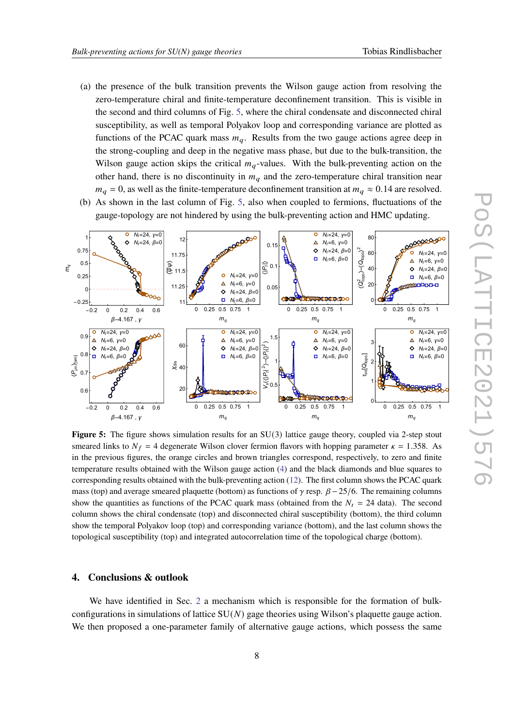- (a) the presence of the bulk transition prevents the Wilson gauge action from resolving the zero-temperature chiral and finite-temperature deconfinement transition. This is visible in the second and third columns of Fig. [5,](#page-7-0) where the chiral condensate and disconnected chiral susceptibility, as well as temporal Polyakov loop and corresponding variance are plotted as functions of the PCAC quark mass  $m_q$ . Results from the two gauge actions agree deep in the strong-coupling and deep in the negative mass phase, but due to the bulk-transition, the Wilson gauge action skips the critical  $m_q$ -values. With the bulk-preventing action on the other hand, there is no discontinuity in  $m<sub>a</sub>$  and the zero-temperature chiral transition near  $m_a = 0$ , as well as the finite-temperature deconfinement transition at  $m_a \approx 0.14$  are resolved.
- (b) As shown in the last column of Fig. [5,](#page-7-0) also when coupled to fermions, fluctuations of the gauge-topology are not hindered by using the bulk-preventing action and HMC updating.

<span id="page-7-0"></span>

**Figure 5:** The figure shows simulation results for an SU(3) lattice gauge theory, coupled via 2-step stout smeared links to  $N_f = 4$  degenerate Wilson clover fermion flavors with hopping parameter  $\kappa = 1.358$ . As in the previous figures, the orange circles and brown triangles correspond, respectively, to zero and finite temperature results obtained with the Wilson gauge action [\(4\)](#page-1-2) and the black diamonds and blue squares to corresponding results obtained with the bulk-preventing action [\(12\)](#page-4-1). The first column shows the PCAC quark mass (top) and average smeared plaquette (bottom) as functions of  $\gamma$  resp.  $\beta - 25/6$ . The remaining columns show the quantities as functions of the PCAC quark mass (obtained from the  $N_t = 24$  data). The second column shows the chiral condensate (top) and disconnected chiral susceptibility (bottom), the third column show the temporal Polyakov loop (top) and corresponding variance (bottom), and the last column shows the topological susceptibility (top) and integrated autocorrelation time of the topological charge (bottom).

# **4. Conclusions & outlook**

We have identified in Sec. [2](#page-1-3) a mechanism which is responsible for the formation of bulkconfigurations in simulations of lattice  $SU(N)$  gage theories using Wilson's plaquette gauge action. We then proposed a one-parameter family of alternative gauge actions, which possess the same